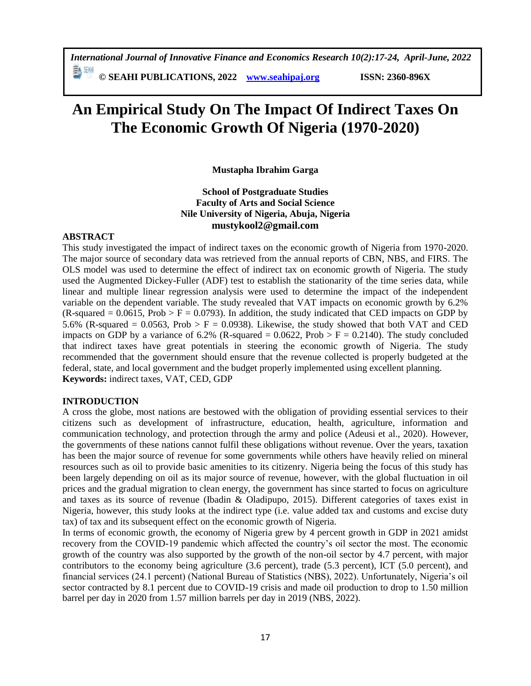# **An Empirical Study On The Impact Of Indirect Taxes On The Economic Growth Of Nigeria (1970-2020)**

**Mustapha Ibrahim Garga**

## **School of Postgraduate Studies Faculty of Arts and Social Science Nile University of Nigeria, Abuja, Nigeria mustykool2@gmail.com**

## **ABSTRACT**

This study investigated the impact of indirect taxes on the economic growth of Nigeria from 1970-2020. The major source of secondary data was retrieved from the annual reports of CBN, NBS, and FIRS. The OLS model was used to determine the effect of indirect tax on economic growth of Nigeria. The study used the Augmented Dickey-Fuller (ADF) test to establish the stationarity of the time series data, while linear and multiple linear regression analysis were used to determine the impact of the independent variable on the dependent variable. The study revealed that VAT impacts on economic growth by 6.2% (R-squared =  $0.0615$ , Prob > F = 0.0793). In addition, the study indicated that CED impacts on GDP by 5.6% (R-squared = 0.0563, Prob >  $F = 0.0938$ ). Likewise, the study showed that both VAT and CED impacts on GDP by a variance of 6.2% (R-squared =  $0.0622$ , Prob > F = 0.2140). The study concluded that indirect taxes have great potentials in steering the economic growth of Nigeria. The study recommended that the government should ensure that the revenue collected is properly budgeted at the federal, state, and local government and the budget properly implemented using excellent planning. **Keywords:** indirect taxes, VAT, CED, GDP

## **INTRODUCTION**

A cross the globe, most nations are bestowed with the obligation of providing essential services to their citizens such as development of infrastructure, education, health, agriculture, information and communication technology, and protection through the army and police (Adeusi et al., 2020). However, the governments of these nations cannot fulfil these obligations without revenue. Over the years, taxation has been the major source of revenue for some governments while others have heavily relied on mineral resources such as oil to provide basic amenities to its citizenry. Nigeria being the focus of this study has been largely depending on oil as its major source of revenue, however, with the global fluctuation in oil prices and the gradual migration to clean energy, the government has since started to focus on agriculture and taxes as its source of revenue (Ibadin & Oladipupo, 2015). Different categories of taxes exist in Nigeria, however, this study looks at the indirect type (i.e. value added tax and customs and excise duty tax) of tax and its subsequent effect on the economic growth of Nigeria.

In terms of economic growth, the economy of Nigeria grew by 4 percent growth in GDP in 2021 amidst recovery from the COVID-19 pandemic which affected the country's oil sector the most. The economic growth of the country was also supported by the growth of the non-oil sector by 4.7 percent, with major contributors to the economy being agriculture (3.6 percent), trade (5.3 percent), ICT (5.0 percent), and financial services (24.1 percent) (National Bureau of Statistics (NBS), 2022). Unfortunately, Nigeria's oil sector contracted by 8.1 percent due to COVID-19 crisis and made oil production to drop to 1.50 million barrel per day in 2020 from 1.57 million barrels per day in 2019 (NBS, 2022).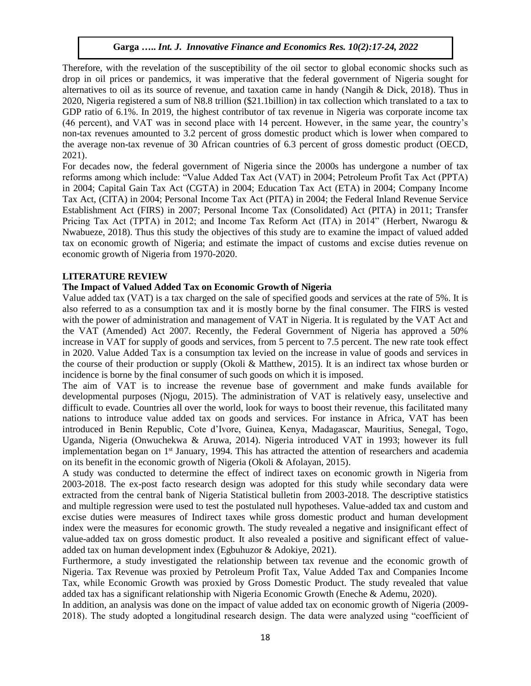Therefore, with the revelation of the susceptibility of the oil sector to global economic shocks such as drop in oil prices or pandemics, it was imperative that the federal government of Nigeria sought for alternatives to oil as its source of revenue, and taxation came in handy (Nangih & Dick, 2018). Thus in 2020, Nigeria registered a sum of N8.8 trillion (\$21.1billion) in tax collection which translated to a tax to GDP ratio of 6.1%. In 2019, the highest contributor of tax revenue in Nigeria was corporate income tax (46 percent), and VAT was in second place with 14 percent. However, in the same year, the country's non-tax revenues amounted to 3.2 percent of gross domestic product which is lower when compared to the average non-tax revenue of 30 African countries of 6.3 percent of gross domestic product (OECD, 2021).

For decades now, the federal government of Nigeria since the 2000s has undergone a number of tax reforms among which include: "Value Added Tax Act (VAT) in 2004; Petroleum Profit Tax Act (PPTA) in 2004; Capital Gain Tax Act (CGTA) in 2004; Education Tax Act (ETA) in 2004; Company Income Tax Act, (CITA) in 2004; Personal Income Tax Act (PITA) in 2004; the Federal Inland Revenue Service Establishment Act (FIRS) in 2007; Personal Income Tax (Consolidated) Act (PITA) in 2011; Transfer Pricing Tax Act (TPTA) in 2012; and Income Tax Reform Act (ITA) in 2014" (Herbert, Nwarogu & Nwabueze, 2018). Thus this study the objectives of this study are to examine the impact of valued added tax on economic growth of Nigeria; and estimate the impact of customs and excise duties revenue on economic growth of Nigeria from 1970-2020.

#### **LITERATURE REVIEW**

#### **The Impact of Valued Added Tax on Economic Growth of Nigeria**

Value added tax (VAT) is a tax charged on the sale of specified goods and services at the rate of 5%. It is also referred to as a consumption tax and it is mostly borne by the final consumer. The FIRS is vested with the power of administration and management of VAT in Nigeria. It is regulated by the VAT Act and the VAT (Amended) Act 2007. Recently, the Federal Government of Nigeria has approved a 50% increase in VAT for supply of goods and services, from 5 percent to 7.5 percent. The new rate took effect in 2020. Value Added Tax is a consumption tax levied on the increase in value of goods and services in the course of their production or supply (Okoli & Matthew, 2015). It is an indirect tax whose burden or incidence is borne by the final consumer of such goods on which it is imposed.

The aim of VAT is to increase the revenue base of government and make funds available for developmental purposes (Njogu, 2015). The administration of VAT is relatively easy, unselective and difficult to evade. Countries all over the world, look for ways to boost their revenue, this facilitated many nations to introduce value added tax on goods and services. For instance in Africa, VAT has been introduced in Benin Republic, Cote d'Ivore, Guinea, Kenya, Madagascar, Mauritius, Senegal, Togo, Uganda, Nigeria (Onwuchekwa & Aruwa, 2014). Nigeria introduced VAT in 1993; however its full implementation began on  $1<sup>st</sup>$  January, 1994. This has attracted the attention of researchers and academia on its benefit in the economic growth of Nigeria (Okoli & Afolayan, 2015).

A study was conducted to determine the effect of indirect taxes on economic growth in Nigeria from 2003-2018. The ex-post facto research design was adopted for this study while secondary data were extracted from the central bank of Nigeria Statistical bulletin from 2003-2018. The descriptive statistics and multiple regression were used to test the postulated null hypotheses. Value-added tax and custom and excise duties were measures of Indirect taxes while gross domestic product and human development index were the measures for economic growth. The study revealed a negative and insignificant effect of value-added tax on gross domestic product. It also revealed a positive and significant effect of valueadded tax on human development index (Egbuhuzor & Adokiye, 2021).

Furthermore, a study investigated the relationship between tax revenue and the economic growth of Nigeria. Tax Revenue was proxied by Petroleum Profit Tax, Value Added Tax and Companies Income Tax, while Economic Growth was proxied by Gross Domestic Product. The study revealed that value added tax has a significant relationship with Nigeria Economic Growth (Eneche & Ademu, 2020).

In addition, an analysis was done on the impact of value added tax on economic growth of Nigeria (2009- 2018). The study adopted a longitudinal research design. The data were analyzed using "coefficient of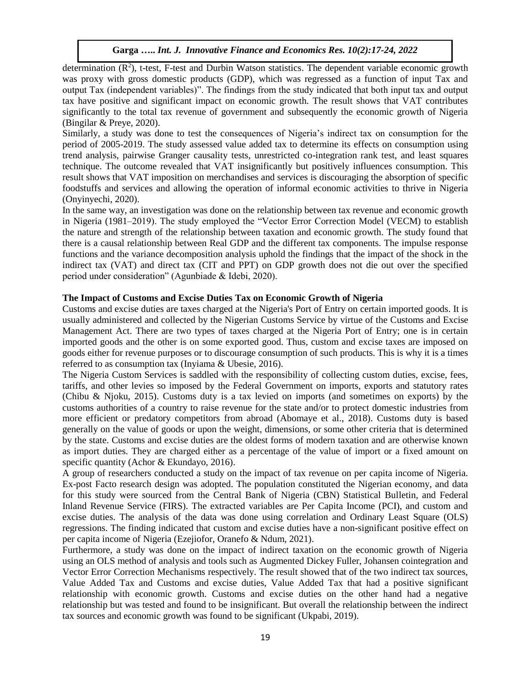determination  $(R^2)$ , t-test, F-test and Durbin Watson statistics. The dependent variable economic growth was proxy with gross domestic products (GDP), which was regressed as a function of input Tax and output Tax (independent variables)". The findings from the study indicated that both input tax and output tax have positive and significant impact on economic growth. The result shows that VAT contributes significantly to the total tax revenue of government and subsequently the economic growth of Nigeria (Bingilar & Preye, 2020).

Similarly, a study was done to test the consequences of Nigeria's indirect tax on consumption for the period of 2005-2019. The study assessed value added tax to determine its effects on consumption using trend analysis, pairwise Granger causality tests, unrestricted co-integration rank test, and least squares technique. The outcome revealed that VAT insignificantly but positively influences consumption. This result shows that VAT imposition on merchandises and services is discouraging the absorption of specific foodstuffs and services and allowing the operation of informal economic activities to thrive in Nigeria (Onyinyechi, 2020).

In the same way, an investigation was done on the relationship between tax revenue and economic growth in Nigeria (1981–2019). The study employed the "Vector Error Correction Model (VECM) to establish the nature and strength of the relationship between taxation and economic growth. The study found that there is a causal relationship between Real GDP and the different tax components. The impulse response functions and the variance decomposition analysis uphold the findings that the impact of the shock in the indirect tax (VAT) and direct tax (CIT and PPT) on GDP growth does not die out over the specified period under consideration" (Agunbiade & Idebi, 2020).

## **The Impact of Customs and Excise Duties Tax on Economic Growth of Nigeria**

Customs and excise duties are taxes charged at the Nigeria's Port of Entry on certain imported goods. It is usually administered and collected by the Nigerian Customs Service by virtue of the Customs and Excise Management Act. There are two types of taxes charged at the Nigeria Port of Entry; one is in certain imported goods and the other is on some exported good. Thus, custom and excise taxes are imposed on goods either for revenue purposes or to discourage consumption of such products. This is why it is a times referred to as consumption tax (Inyiama & Ubesie, 2016).

The Nigeria Custom Services is saddled with the responsibility of collecting custom duties, excise, fees, tariffs, and other levies so imposed by the Federal Government on imports, exports and statutory rates (Chibu & Njoku, 2015). Customs duty is a tax levied on imports (and sometimes on exports) by the customs authorities of a country to raise revenue for the state and/or to protect domestic industries from more efficient or predatory competitors from abroad (Abomaye et al., 2018). Customs duty is based generally on the value of goods or upon the weight, dimensions, or some other criteria that is determined by the state. Customs and excise duties are the oldest forms of modern taxation and are otherwise known as import duties. They are charged either as a percentage of the value of import or a fixed amount on specific quantity (Achor & Ekundayo, 2016).

A group of researchers conducted a study on the impact of tax revenue on per capita income of Nigeria. Ex-post Facto research design was adopted. The population constituted the Nigerian economy, and data for this study were sourced from the Central Bank of Nigeria (CBN) Statistical Bulletin, and Federal Inland Revenue Service (FIRS). The extracted variables are Per Capita Income (PCI), and custom and excise duties. The analysis of the data was done using correlation and Ordinary Least Square (OLS) regressions. The finding indicated that custom and excise duties have a non-significant positive effect on per capita income of Nigeria (Ezejiofor, Oranefo & Ndum, 2021).

Furthermore, a study was done on the impact of indirect taxation on the economic growth of Nigeria using an OLS method of analysis and tools such as Augmented Dickey Fuller, Johansen cointegration and Vector Error Correction Mechanisms respectively. The result showed that of the two indirect tax sources, Value Added Tax and Customs and excise duties, Value Added Tax that had a positive significant relationship with economic growth. Customs and excise duties on the other hand had a negative relationship but was tested and found to be insignificant. But overall the relationship between the indirect tax sources and economic growth was found to be significant (Ukpabi, 2019).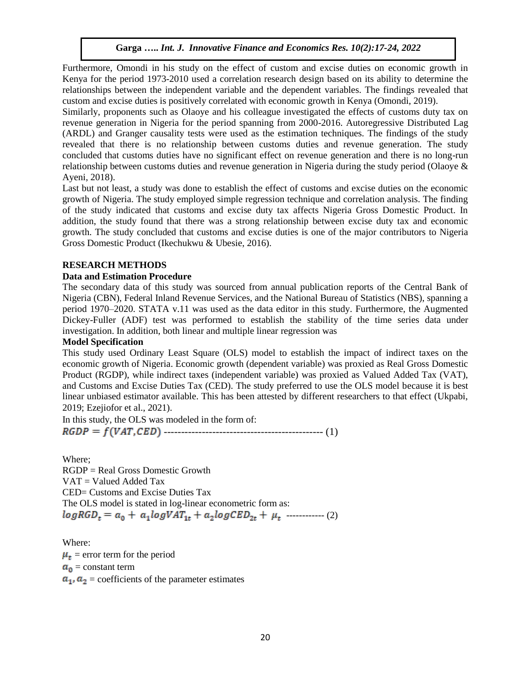Furthermore, Omondi in his study on the effect of custom and excise duties on economic growth in Kenya for the period 1973-2010 used a correlation research design based on its ability to determine the relationships between the independent variable and the dependent variables. The findings revealed that custom and excise duties is positively correlated with economic growth in Kenya (Omondi, 2019).

Similarly, proponents such as Olaoye and his colleague investigated the effects of customs duty tax on revenue generation in Nigeria for the period spanning from 2000-2016. Autoregressive Distributed Lag (ARDL) and Granger causality tests were used as the estimation techniques. The findings of the study revealed that there is no relationship between customs duties and revenue generation. The study concluded that customs duties have no significant effect on revenue generation and there is no long-run relationship between customs duties and revenue generation in Nigeria during the study period (Olaoye & Ayeni, 2018).

Last but not least, a study was done to establish the effect of customs and excise duties on the economic growth of Nigeria. The study employed simple regression technique and correlation analysis. The finding of the study indicated that customs and excise duty tax affects Nigeria Gross Domestic Product. In addition, the study found that there was a strong relationship between excise duty tax and economic growth. The study concluded that customs and excise duties is one of the major contributors to Nigeria Gross Domestic Product (Ikechukwu & Ubesie, 2016).

## **RESEARCH METHODS**

## **Data and Estimation Procedure**

The secondary data of this study was sourced from annual publication reports of the Central Bank of Nigeria (CBN), Federal Inland Revenue Services, and the National Bureau of Statistics (NBS), spanning a period 1970–2020. STATA v.11 was used as the data editor in this study. Furthermore, the Augmented Dickey-Fuller (ADF) test was performed to establish the stability of the time series data under investigation. In addition, both linear and multiple linear regression was

## **Model Specification**

This study used Ordinary Least Square (OLS) model to establish the impact of indirect taxes on the economic growth of Nigeria. Economic growth (dependent variable) was proxied as Real Gross Domestic Product (RGDP), while indirect taxes (independent variable) was proxied as Valued Added Tax (VAT), and Customs and Excise Duties Tax (CED). The study preferred to use the OLS model because it is best linear unbiased estimator available. This has been attested by different researchers to that effect (Ukpabi, 2019; Ezejiofor et al., 2021).

In this study, the OLS was modeled in the form of: ---------------------------------------------- (1)

Where; RGDP = Real Gross Domestic Growth VAT = Valued Added Tax CED= Customs and Excise Duties Tax The OLS model is stated in log-linear econometric form as:  $logRGD_t = a_0 + a_1 logVAT_{1t} + a_2 logCED_{2t} + \mu_t \ \cdots \cdots \cdots \cdots \cdots \tag{2}$ 

Where:  $\mu_t$  = error term for the period  $a_0$  = constant term  $a_1$ ,  $a_2$  = coefficients of the parameter estimates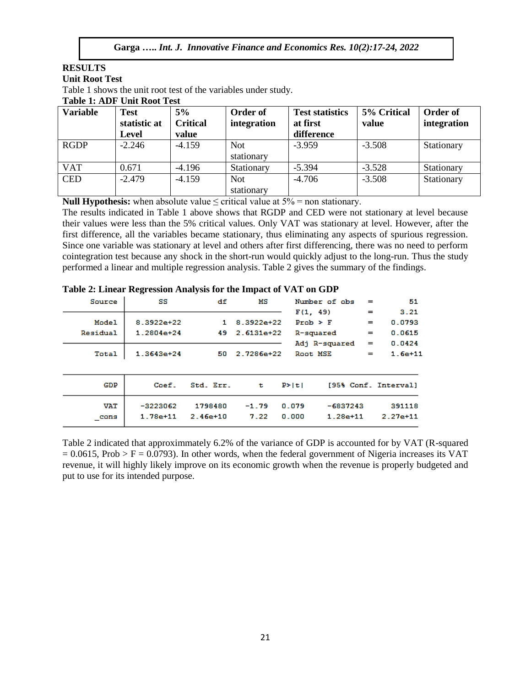## **RESULTS**

## **Unit Root Test**

Table 1 shows the unit root test of the variables under study.

**Table 1: ADF Unit Root Test**

| <b>Variable</b> | <b>Test</b><br>statistic at<br><b>Level</b> | 5%<br><b>Critical</b><br>value | Order of<br>integration | <b>Test statistics</b><br>at first<br>difference | 5% Critical<br>value | Order of<br>integration |
|-----------------|---------------------------------------------|--------------------------------|-------------------------|--------------------------------------------------|----------------------|-------------------------|
| <b>RGDP</b>     | $-2.246$                                    | $-4.159$                       | Not.<br>stationary      | $-3.959$                                         | $-3.508$             | Stationary              |
| <b>VAT</b>      | 0.671                                       | $-4.196$                       | Stationary              | $-5.394$                                         | $-3.528$             | Stationary              |
| <b>CED</b>      | $-2.479$                                    | $-4.159$                       | Not.<br>stationary      | $-4.706$                                         | $-3.508$             | Stationary              |

**Null Hypothesis:** when absolute value  $\le$  critical value at  $5\%$  = non stationary.

The results indicated in Table 1 above shows that RGDP and CED were not stationary at level because their values were less than the 5% critical values. Only VAT was stationary at level. However, after the first difference, all the variables became stationary, thus eliminating any aspects of spurious regression. Since one variable was stationary at level and others after first differencing, there was no need to perform cointegration test because any shock in the short-run would quickly adjust to the long-run. Thus the study performed a linear and multiple regression analysis. Table 2 gives the summary of the findings.

| Source     | SS           | df           | мs            |              | Number of obs | $=$ | 51                   |
|------------|--------------|--------------|---------------|--------------|---------------|-----|----------------------|
|            |              |              |               | F(1, 49)     |               | $=$ | 3.21                 |
| Model      | $8.3922e+22$ | 1.           | $8.3922e+22$  | $Prob$ > $F$ |               | $=$ | 0.0793               |
| Residual   | $1.2804e+24$ | 49.          | $2.6131e+22$  | R-squared    |               | $=$ | 0.0615               |
|            |              |              |               |              | Adj R-squared | $=$ | 0.0424               |
| Total      | $1.3643e+24$ | 50.          | $2.7286 + 22$ | Root MSE     |               | $=$ | $1.6e+11$            |
|            |              |              |               |              |               |     |                      |
| GDP        | Coef.        | Std. Err.    | t             | P >  t       |               |     | [95% Conf. Interval] |
| <b>VAT</b> | $-3223062$   | 1798480      | $-1.79$       | 0.079        | $-6837243$    |     | 391118               |
| cons       | $1.78e + 11$ | $2.46e + 10$ | 7.22          | 0.000        | $1.28e + 11$  |     | $2.27e+11$           |

#### **Table 2: Linear Regression Analysis for the Impact of VAT on GDP**

Table 2 indicated that approximmately 6.2% of the variance of GDP is accounted for by VAT (R-squared  $= 0.0615$ , Prob > F = 0.0793). In other words, when the federal government of Nigeria increases its VAT revenue, it will highly likely improve on its economic growth when the revenue is properly budgeted and put to use for its intended purpose.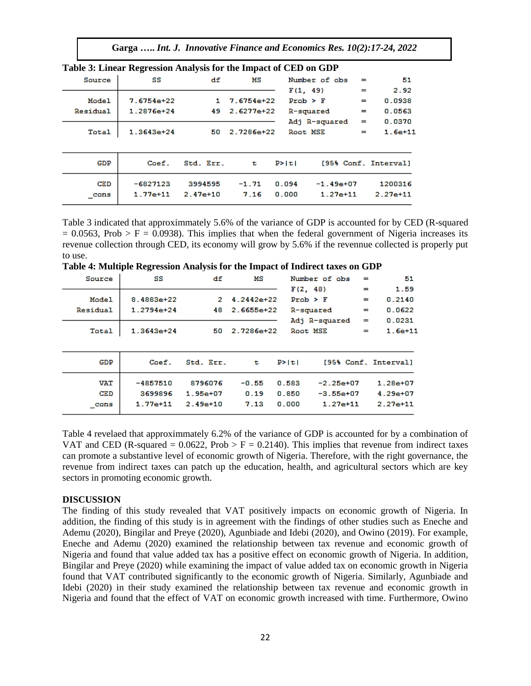**Garga …..** *Int. J. Innovative Finance and Economics Res. 10(2):17-24, 2022*

|          | Table 5: Linear Regression Analysis for the impact of CED on GDP |              |              |              |               |     |                      |
|----------|------------------------------------------------------------------|--------------|--------------|--------------|---------------|-----|----------------------|
| Source   | SS                                                               | df           | MS           |              | Number of obs | $=$ | 51                   |
|          |                                                                  |              |              | F(1, 49)     |               | $=$ | 2.92                 |
| Model    | $7.6754e+22$                                                     | 1.           | $7.6754e+22$ | $Prob$ > $F$ |               | $=$ | 0.0938               |
| Residual | $1.2876e + 24$                                                   | 49.          | $2.6277e+22$ | R-squared    |               | $=$ | 0.0563               |
|          |                                                                  |              |              |              | Adj R-squared | $=$ | 0.0370               |
| Total    | $1.3643e+24$                                                     | 50           | 2.7286e+22   | Root MSE     |               | $=$ | $1.6e + 11$          |
|          |                                                                  |              |              |              |               |     |                      |
| GDP      | Coef.                                                            | Std. Err.    | t            | P >  t       |               |     | [95% Conf. Interval] |
| CED      | $-6827123$                                                       | 3994595      | $-1.71$      | 0.094        | $-1.49e+07$   |     | 1200316              |
| cons     | $1.77e + 11$                                                     | $2.47e + 10$ | 7.16         | 0.000        | $1.27e+11$    |     | $2.27e+11$           |

**Table 3: Linear Regression Analysis for the Impact of CED on GDP**

Table 3 indicated that approximmately 5.6% of the variance of GDP is accounted for by CED (R-squared  $= 0.0563$ , Prob > F = 0.0938). This implies that when the federal government of Nigeria increases its revenue collection through CED, its economy will grow by 5.6% if the revennue collected is properly put to use.

**Table 4: Multiple Regression Analysis for the Impact of Indirect taxes on GDP**

| Source     | SS           | df           | мs           | Number of obs | $=$          | 51                   |
|------------|--------------|--------------|--------------|---------------|--------------|----------------------|
|            |              |              |              | F(2, 48)      | $=$          | 1.59                 |
| Model      | $8.4883e+22$ | 2            | $4.2442e+22$ | $Prob$ > $F$  | $=$          | 0.2140               |
| Residual   | $1.2794e+24$ | 48.          | $2.6655e+22$ | R-squared     | $=$          | 0.0622               |
|            |              |              |              | Adj R-squared | $=$          | 0.0231               |
| Total      | $1.3643e+24$ | 50           | 2.7286e+22   | Root MSE      | $=$          | $1.6e+11$            |
|            |              |              |              |               |              |                      |
| GDP        | Coef.        | Std. Err.    | t            | P >  t        |              | [95% Conf. Interval] |
| <b>VAT</b> | -4857510     | 8796076      | $-0.55$      | 0.583         | $-2.25e+07$  | $1.28e + 07$         |
| CED        | 3699896      | $1.95e + 07$ | 0.19         | 0.850         | $-3.55e+07$  | $4.29e+07$           |
| cons       | $1.77e + 11$ | $2.49e + 10$ | 7.13         | 0.000         | $1.27e + 11$ | $2.27e+11$           |

Table 4 revelaed that approximmately 6.2% of the variance of GDP is accounted for by a combination of VAT and CED (R-squared =  $0.0622$ , Prob > F = 0.2140). This implies that revenue from indirect taxes can promote a substantive level of economic growth of Nigeria. Therefore, with the right governance, the revenue from indirect taxes can patch up the education, health, and agricultural sectors which are key sectors in promoting economic growth.

#### **DISCUSSION**

The finding of this study revealed that VAT positively impacts on economic growth of Nigeria. In addition, the finding of this study is in agreement with the findings of other studies such as Eneche and Ademu (2020), Bingilar and Preye (2020), Agunbiade and Idebi (2020), and Owino (2019). For example, Eneche and Ademu (2020) examined the relationship between tax revenue and economic growth of Nigeria and found that value added tax has a positive effect on economic growth of Nigeria. In addition, Bingilar and Preye (2020) while examining the impact of value added tax on economic growth in Nigeria found that VAT contributed significantly to the economic growth of Nigeria. Similarly, Agunbiade and Idebi (2020) in their study examined the relationship between tax revenue and economic growth in Nigeria and found that the effect of VAT on economic growth increased with time. Furthermore, Owino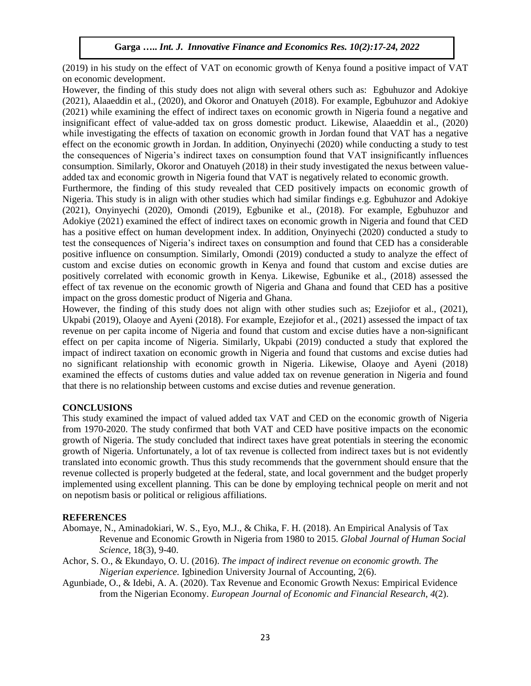(2019) in his study on the effect of VAT on economic growth of Kenya found a positive impact of VAT on economic development.

However, the finding of this study does not align with several others such as: Egbuhuzor and Adokiye (2021), Alaaeddin et al., (2020), and Okoror and Onatuyeh (2018). For example, Egbuhuzor and Adokiye (2021) while examining the effect of indirect taxes on economic growth in Nigeria found a negative and insignificant effect of value-added tax on gross domestic product. Likewise, Alaaeddin et al., (2020) while investigating the effects of taxation on economic growth in Jordan found that VAT has a negative effect on the economic growth in Jordan. In addition, Onyinyechi (2020) while conducting a study to test the consequences of Nigeria's indirect taxes on consumption found that VAT insignificantly influences consumption. Similarly, Okoror and Onatuyeh (2018) in their study investigated the nexus between valueadded tax and economic growth in Nigeria found that VAT is negatively related to economic growth.

Furthermore, the finding of this study revealed that CED positively impacts on economic growth of Nigeria. This study is in align with other studies which had similar findings e.g. Egbuhuzor and Adokiye (2021), Onyinyechi (2020), Omondi (2019), Egbunike et al., (2018). For example, Egbuhuzor and Adokiye (2021) examined the effect of indirect taxes on economic growth in Nigeria and found that CED has a positive effect on human development index. In addition, Onyinyechi (2020) conducted a study to test the consequences of Nigeria's indirect taxes on consumption and found that CED has a considerable positive influence on consumption. Similarly, Omondi (2019) conducted a study to analyze the effect of custom and excise duties on economic growth in Kenya and found that custom and excise duties are positively correlated with economic growth in Kenya. Likewise, Egbunike et al., (2018) assessed the effect of tax revenue on the economic growth of Nigeria and Ghana and found that CED has a positive impact on the gross domestic product of Nigeria and Ghana.

However, the finding of this study does not align with other studies such as; Ezejiofor et al., (2021), Ukpabi (2019), Olaoye and Ayeni (2018). For example, Ezejiofor et al., (2021) assessed the impact of tax revenue on per capita income of Nigeria and found that custom and excise duties have a non-significant effect on per capita income of Nigeria. Similarly, Ukpabi (2019) conducted a study that explored the impact of indirect taxation on economic growth in Nigeria and found that customs and excise duties had no significant relationship with economic growth in Nigeria. Likewise, Olaoye and Ayeni (2018) examined the effects of customs duties and value added tax on revenue generation in Nigeria and found that there is no relationship between customs and excise duties and revenue generation.

## **CONCLUSIONS**

This study examined the impact of valued added tax VAT and CED on the economic growth of Nigeria from 1970-2020. The study confirmed that both VAT and CED have positive impacts on the economic growth of Nigeria. The study concluded that indirect taxes have great potentials in steering the economic growth of Nigeria. Unfortunately, a lot of tax revenue is collected from indirect taxes but is not evidently translated into economic growth. Thus this study recommends that the government should ensure that the revenue collected is properly budgeted at the federal, state, and local government and the budget properly implemented using excellent planning. This can be done by employing technical people on merit and not on nepotism basis or political or religious affiliations.

## **REFERENCES**

- Abomaye, N., Aminadokiari, W. S., Eyo, M.J., & Chika, F. H. (2018). An Empirical Analysis of Tax Revenue and Economic Growth in Nigeria from 1980 to 2015. *Global Journal of Human Social Science,* 18(3), 9-40.
- Achor, S. O., & Ekundayo, O. U. (2016). *The impact of indirect revenue on economic growth. The Nigerian experience.* Igbinedion University Journal of Accounting, 2(6).
- Agunbiade, O., & Idebi, A. A. (2020). Tax Revenue and Economic Growth Nexus: Empirical Evidence from the Nigerian Economy. *European Journal of Economic and Financial Research*, *4*(2).